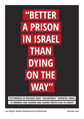# "BETTER A PRISON **IN ISRAEL** THAN DYING **ON THE** WAY"

**TESTIMONIES OF REFUGEES WHO "VOLUNTARILY" DEPARTED ISRAEL** 

**TO RWANDA AND UGANDA AND GAINED PROTECTION IN EUROPE**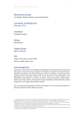### **Research and writing**

Lior Birger, Shahar Shoham and Liat Bolzman<sup>1</sup>

## **Counseling and Background**

Shani Bar-Tuvia

**Translation** Elizabeth Tsurkov

**Editing** Elad Keinan

## **Graphic Design**

Morin Glimmer

## **DOI**

https://doi.org/10.18452/20087 Tel Aviv-Jaffa, Berlin 2018

## **Acknowledgments**

Thank you to The Hotline for Refugees and Migrants for the assistance in publishing this report, Emanuel Yemane, Saad al-Din Ibrahim, Mutasim Ali, Dawit Demoz, Kebdom Menegisto, Yousif Mouhammad, Adi Drori Avraham, Gilad Lieberman, Sigal kook Avivi, Yael Agur Orgal, Prof. Tomer Broude, Dr. Yochay Nadan, Lena Rotenberg, Gali Shapira, Iris Tubia, Or Koren, Hamoutal Sadan, Shaba Sadan, Rachel Lee, Yotam Gidron, Edi Saar, Erez Segal, Gilad Reich, Misha Shenbrot, Shana Krakowski, Traci Siegel, Reut Shpatz Nissani.

We are particularly grateful to all the participants in the study who agreed to share the details of their difficult journey.

<sup>1.</sup> Lior Birger, a PhD student for Social Work at the Hebrew University of Jerusalem and a Fellow at the joint program of the Hebrew University and the Free University of Berlin - "Human Rights Under Pressure" Shahar Shoham, a PhD student for Area and Global Studies at the Institute for Asian and African Studies ,

Humboldt University in Berlin and a grantee of the Hans-Böckler Foundation in Germany.

Liat Boltzman, an M.A. student for Social Work and Human Rights at the Alice Salomon University in Berlin and a grantee of the Rosa Luxemburg Foundation in Germany.

<sup>\*</sup> The authors are independent researchers with years of experience working with refugee communities residing in Israel under the auspices of several NGOs.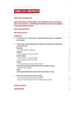# **TABLE OF CONTENTS**

|                  | <b>EXECUTIVE SUMMARY</b>                                                                                                                                                                                                                                                                                                                                                                                                                                   | 4                                                                                |  |  |
|------------------|------------------------------------------------------------------------------------------------------------------------------------------------------------------------------------------------------------------------------------------------------------------------------------------------------------------------------------------------------------------------------------------------------------------------------------------------------------|----------------------------------------------------------------------------------|--|--|
|                  | <b>BACKGROUND: FROM ISRAEL TO RWANDA AND UGANDA -</b><br>THE "VOLUNTARY" DEPARTURE PROGRAM AND THE PLANNED<br><b>FORCIBLE DEPORTATION</b>                                                                                                                                                                                                                                                                                                                  | 6                                                                                |  |  |
|                  | <b>PREVIOUS REPORTS</b>                                                                                                                                                                                                                                                                                                                                                                                                                                    | 10                                                                               |  |  |
|                  | <b>METHODOLOGY</b>                                                                                                                                                                                                                                                                                                                                                                                                                                         | 12                                                                               |  |  |
|                  | <b>FINDINGS</b><br>A. THE PROCESS OF "VOLUNTARY" DEPARTURE FROM ISRAEL TO RWANDA<br><b>OR UGANDA</b>                                                                                                                                                                                                                                                                                                                                                       | 15<br>16                                                                         |  |  |
| В.               | THE JOURNEY FROM RWANDA OR UGANDA TO EUROPE AND HARDSHIPS<br><b>ALONG THE WAY</b><br>Rwanda<br>> From Rwanda to Uganda<br>Uganda<br>> From Uganda to South Sudan<br><b>South Sudan</b><br>> Incarceration in South Sudan<br>> From South Sudan to Sudan<br>Sudan<br>> Forcible return to Eritrea from Sudan<br>The journey through the Sahara from Sudan to Libya<br>> Death in the Sahara<br>Libya<br>Crossing the Mediterranean Sea from Libya to Italy. | 17<br>17<br>19<br>20<br>21<br>22<br>23<br>23<br>24<br>24<br>25<br>26<br>27<br>29 |  |  |
|                  | c. The lives of the interviewees today<br>> The mental state of the interviewees<br>> Concern for the lives of Those remaining in Israel                                                                                                                                                                                                                                                                                                                   | 31<br>31<br>32                                                                   |  |  |
|                  | <b>CONCLUSIONS</b>                                                                                                                                                                                                                                                                                                                                                                                                                                         | 34                                                                               |  |  |
| <b>AFTERWARD</b> |                                                                                                                                                                                                                                                                                                                                                                                                                                                            |                                                                                  |  |  |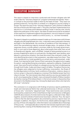# **EXECUTIVE SUMMARY**

This report is based on interviews conducted with Eritrean refugees who left Israel under the "Voluntary Departure" program to Rwanda and Uganda. There – in contrast to the promises made to them by the State of Israel – they were not granted protection, forcing them to embark on a dangerous journey ending in Europe. This report focuses on the "Voluntary Departure" policy and how it affected the lives of those who left Israel under it. This policy has been implemented since late 2013 vis-à-vis Eritrean and Sudanese residing in Israel. In January 2018, shortly before the publication of this report, the State of Israel announced an escalation of the measures it implements against this population; one such measure is a plan to forcibly deport asylum-seekers to a third country, i.e., not their homeland.

The report is based on a qualitative research made up of 19 interviews with Eritrean refugees who left Israel between 2014-2016. 11 interviews were conducted in Germany and eight in the Netherlands, the countries of residence of the interviewees, in which the overwhelming majority received refugee status. An analysis of their responses shows a similar pattern: promises made by the Israeli government, both in court and to those departing, about what awaits them after their arrival to Rwanda and Uganda, went unfulfilled. Instead of being granted access to a process of applying for asylum or work permits, the deportees, upon landing, were placed in a precarious situation: the travel document they received in Israel, the only identifying document in their possession, was taken away from them. They were transferred to a hotel guarded by an armed sentry and prevented, under threat, from leaving the hotel. None of them were given the opportunity to apply for asylum. Lacking identifying documentation, exposed to robberies, threats and arrest, they were forced to embark on a dangerous journey that included passing through South Sudan, Sudan and Libya in search of safety. Throughout the journey, the refugees were subjected to human trafficking, incarceration, the threat of forcible deportation to Eritrea, harsh conditions of starvation, violence, slavery in torture camps in Libya and a dangerous crossing of the Mediterranean Sea from Libya to Europe. The interviewees described a perilous journey permeated with an all-encompassing fear of death: many witnessed the death of fellow travelers during the crossing of the Sahara Desert, in the torture camps in Libya and as they drowned in the Mediterranean Sea. Among the dead were others who had who left Israel "voluntarily."

This conclusion is in congruence with findings of previous reports published by Israeli and international NGOs that collected testimonies in African countries of those who "voluntarily" departed Israel. These testimonies were recently buttressed by a statement of the United Nations High Commissioner on Refugees (UNHCR) about dozens of similar testimonies the agency collected in Italy. Taken together, several hundreds of testimonies have been collected. Thus, the report confirms that the alarming patterns documented by previous reports have not changed. In addition, this report, for the first time, details additional stages in the journey of those who departed. Little information was available about these legs of the journey – and especially about what the interviewees experienced in Libya and during their crossing of the Mediterranean Sea– until their arrival in Europe.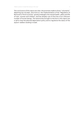The conclusions of this report are clear: the promises made to those "voluntarily" departing are not kept, and more so, the implementation of the "Regulation of Removal to Third Countries" gravely endangers the mental health, safety and life of men, women and children, and has already cost of the lives of an unknown number of human beings. The testimonies brought to the fore in this report are a call to stop the planned deportation policy and to regularize the status of the asylum-seekers residing in Israel.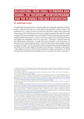# **BACKGROUND: FROM ISRAEL TO RWANDA AND UGANDA – THE "VOLUNTARY" DEPARTURE PROGRAM AND THE PLANNED FORCIBLE DEPORTATION**

## **BY: SHANI BAR-TUVIA2**

In Israel 37,288 men and women currently reside who irregularly crossed its southern border.<sup>3</sup> Most are Eritreans (71%) who fled the dictatorship in their country<sup>4</sup> and Sudanese (21%), many of whom arrived from the Darfur region that underwent what many in the international community recognize as genocide, and other areas in Sudan that have witnessed over two decades of ethnic cleansing. Most arrived in Israel between 2006 and 2012,<sup>5</sup> which is when the construction of the border fence with Egypt was completed. Since 2013, only a few "infiltrators"<sup>6</sup> entered Israel, but the official policy remained: "to make their lives miserable" until they leave.7 At the same time, Israel recognizes that it cannot forcibly return these people to their countries of origin.<sup>8</sup> In line with Israel's policy, several measures were adopted by the State over the years against Eritreans and Sudanese, including incarceration in the Saharonim Prison and the Holot Detention Facility, prevention of official work permits, healthcare and welfare services, as well as economic sanctions. $^{\circ}$ 

2. Shani Bar-Tuvia, a PhD candidate at the International Relations Department at the Hebrew University of Jerusalem and a Fellow at the joint program "Human Rights Under Pressure" of the Hebrew University and the Free University of Berlin.

3. According to data of the Population Immigration and Border Authority (PIBA). See: "Data on Foreigners in Israel", January 2018. http://bit.ly/2Ej13EY.

4. For more on the human rights situation in Eritrea, see for example the report of the Commission of Inquiry established by the UN to investigate the matter. The report, published on June 8, 2016, entitled "Detailed findings of the commission of inquiry on human rights in Eritrea" found that the Eritrean regime is to blame for crimes against humanity. http://www.ohchr.org/Documents/HRBodies/HRCouncil/CoIEritrea/A\_HRC\_32\_CRP.1\_read-only.pdf 5. See PIBA, "Data on Foreigners in Israel", January 2018. http://bit.ly/2Ej13EY.

6. This is how the State of Israel labels those who entered Israel in an irregular manner through its southern border with Egypt.

7. This phrasing was used by the Minister of Interior at the time, Eli Yishai, in an interview to Ynet News on August 6, 2012. See https://www.ynetnews.com/articles/0,7340,L-4269540,00.html The Chairman of the Knesset Internal Affairs and Environment Committee, MK Dudi Amsalem, described the policy in a less harsh but just as direct manner during a hearing held by his committee on November 21, 2016: "We are in a kind of a transition phase, when the State… is still not sending them home… and we're trying to create an incentive for them to leave on their own." All the protocols of the Knesset hearings are available in Hebrew on the Knesset's website http://m.knesset.gov.il/Activity/committees/Pages/Default.aspx.

8. Representatives of the state acknowledged this on multiple occasions over the years. At times, the policy, at least concerning citizens of Eritrea, was even labeled by representatives of the State as "temporary protection" or "group protection." See the words of Avi Himi, the Head of the Advisory Committee to the Minister of Interior on the Matter of Refugees, during a hearing at the Knesset Internal Affairs Committee on October 14, 2013: "We took into consideration the decision of the Israeli government that they [Eritreans] are under a status of temporary protection." For a relatively recent statement about Israel's official policy not to forcibly return Eritrean and Sudanese nationals, see comments by Yossi Edelstein, the Head of the Enforcement and Foreigners Unit at the Ministry of Interior, during a hearing at the Knesset State Control Committee on March 20, 2017: "I am saying that we are implementing a policy of non-removal and non-return toward subjects of Eritrea and Sudan." 9. For further information see the State Comptroller report, "Foreigners who Can Not be Removed from Israel" report 64C from 2014: http://bit.ly/1AbQI2Y; A book edited by Tally Kritzman-Amir, "Where Levinsky Meets Asmara: Social and Legal Aspects of Israeli Asylum Policy (Van Leer Institute 2015); and an article by Ruvi Ziegler, "No Asylum for 'Infiltrators': The Legal Predicament of Eritrean and Sudanese Nationals in Israel" (2015) 29(2) Journal of Immigration, Asylum and Nationality Law.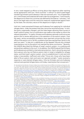In 2013, Israel stepped up efforts to bring about their departure after reaching secret agreements with two "third countries" in Africa<sup>10</sup> to which Israel began transferring Eritreans and Sudanese in late 2013 and early 2014. 11 As of September 2017, 3,959 Eritreans and Sudanese left Israel under this arrangement.<sup>12</sup> Until recently, the departure to these two countries was defined by the State as "voluntary," but due to the legal status and the restrictive measures implemented against them by the State, the voluntary nature of this departure is highly in doubt.<sup>13</sup>

Until 2013, Israel prevented Eritreans and Sudanese from applying for individual refugee status, under the pretext that they cannot be removed anyway.<sup>14</sup> In 2013, the policy supposedly changed, and the state began allowing them access to Israel's asylum system, but no notification was made on the matter to inform the relevant population.15 In reality, Eritreans and Sudanese nationals could not access asylum due to severe deficiencies in the operation of the asylum system. Over the years, serious accessibility problems were reported concerning the (only) office of the asylum unit in Tel Aviv, problems that have reached their zenith in the past two years.16 In late 2017, a adjudicator at the Appeals Tribunal who initiated a spontaneous visit to the asylum unit reached the same conclusions.<sup>17</sup> Recently, the UNHCR described the failings of Israel's asylum system, in a scathing and extraordinary address to the court. In its address, the UNHCR argued that Eritreans and Sudanese are entitled to international protection, that it cannot be assumed that a person who has not filed an asylum claim in Israel is ineligible for refugee status, and that Israel's asylum system, since its establishment in 2009 and until today is inaccessible, inefficient and unfair.<sup>18</sup> Since 2013, those who have been able to file an asylum claim and were not rejected outright,<sup>19</sup> rarely received a response or were denied refugee status. Only ten Eritreans and one Sudanese national were granted refugee status until today, meaning less than one percent.<sup>20</sup>

13. Under international law, for departure to be considered voluntary, it must not be carried out from a place where the refugee has no rights or ability to obtain legal status. For UNHCR regulations on the matter from 1996, see: UNHCR, "Handbook on Voluntary Repatriation: International Protection", http://bit.ly/2egD11i.

The UNHCR reiterated this position explicitly with regards to the "voluntary" departure from Israel to countries of origin. See a report published in Haaretz, February 26, 2013 https://www.haaretz.com/.premium-israelsecretly-sent-back-1-000-to-sudan-1.5231464.

14. This policy was articulated numerous times by several Israeli decision-makers and was summarized clearly in the words of Justice Fogelman, in paragraph 15 in his ruling regarding Asafu (Administrative Appeal 8908/11), July 17, 2012: "In accordance with the policy applied to citizens of Eritrea, even had the appellant filed an asylum claim… it would not have been examined." Even after the possibility to apply for asylum was supposedly provided to citizens of Eritrea and Sudan, the Minister of Interior Gideon Saar admitted in a Knesset Internal Affairs Committee hearing (December 2, 2013) that the asylum applications of those who can be deported are being prioritized over those of applicants who cannot be deported (Eritreans and Sudanese).

15. Appeals Tribunal, Appeal (Tel Aviv) 1279-16, November 6, 2016.

16. See for example a report in Haaretz from April 21, 2017 https://www.haaretz.com/israel-news/.premiumisrael-restricts-asylum-requests-despite-un-convention-1.5463482. The severe problems in accessing the asylum unit led to the filing of a petition to the HCJ, which is still pending (HCJ 7501/17 the Hotline for Refugees and Migrants vs. Minister of Interior).

17. Appeals Tribunal, Appeal (Tel Aviv) 4881-17, December 12, 2017. http://bit.ly/2n2S4j6.

18. UNHCR's position on the status of Eritrean and Sudanese nationals defined as 'infiltrators' by Israel, November 2017: http://www.refworld.org/docid/5a5889584.html.

19. Regarding the policy of outright rejections due to "delays in filing" asylum claims, see the decision of the Appeals Tribunal, which prohibited the State from continuing to apply it. Appeals Tribunal, Appeal (Tel Aviv) 1279-16, November 6, 2016.

20. The data appears in the address of the UNHCR to the court (note 18 above) and in the statement of the attorney general of PIBA at the Knesset Internal Affairs Committee, November 29, 2017.

<sup>10.</sup> See statement by Minister of Interior Gideon Sa'ar at the Knesset Internal Affairs Committee on August 28, 2013. 11. To this day, Israel refuses to disclose the identity of the countries, as well as the details of the agreements with them, but their identity is known in light of the multiple testimonies of those who reached Rwanda and Uganda on flights from Israel. See a report on departures to Uganda from Ynet News, August 29, 2013 https:// www.ynetnews.com/articles/0,7340,L-4424022,00.html and a report on departures to Rwanda from Haaretz, April 4, 2014 https://www.haaretz.com/.premium-israel-sends-asylum-seekers-to-rwanda-1.5243981.

<sup>12.</sup> For data on departures during 2014, see the response of the State as part of High Court of Justice (HCJ) case Desta and others, (8665/14), January 27, 2015. Available At: http://bit.ly/2DFaqB5. For data on 2015-2017, see the response of the State as part of HCJ case Ester Tsegay Gresgeher and others (2293/17), November 16, 2017. Available at: http://bit.ly/2GaWIV4.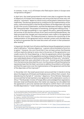In contrast, in 2016, 91.4% of Eritreans who filed asylum claims in Europe were recognized as refugees.21

In April 2015, the Israeli government formed a new plan to augment the rate of departure of Eritreans and Sudanese and announced that all those who will refuse to "voluntarily" depart to a third country will be jailed in Saharonim Prison indefinitely. The attorney general set six conditions for the implementation of this policy, central among them is that the life and liberty of the deportees will not be at risk in the country of destination, and that the deportees will enjoy a "dignified life" there and at least "the prospect of remaining, working and making a living".<sup>22</sup> As part of the legal proceedings in court against this policy, spanning between the summer of 2015 and the summer of 2017 (and concerning Rwanda alone), the State promised that changes and improvements were made to the agreement with the third country. The State promised to improve the monitoring of the implementation of the agreement and to maintain contact with the deportees, as well as to guarantee that the travel document will remain in their possession after landing.<sup>23</sup>

In August 2017, the High Court of Justice ruled that as long as the agreement concerns what is defined as "voluntary departure," a person cannot be jailed to force him to agree.<sup>24</sup> However, the court found that it has not been proven that Rwanda (without explicitly stating its name, due to the secrecy of the agreements) is an unsafe country for those departing, or that the agreements (which the judges became privy to, but not the appellants) are being violated by Rwanda. This ruling was made despite dozens of testimonies and affidavits of those who "voluntarily" departed Israel that were submitted to the court. Several issues that emerged from the testimonies disturbed the court, but the justices sufficed themselves by expressing hope that the State's promises to address the problems will be kept, and that the supervision over the implementation of the agreement and the fate of the deportees will be improved.<sup>25</sup>

In November 2017, the Israeli government announced that it intends to bring about the departure of Eritreans and Sudanese even without their consent, thus abandoning the fig leaf of "voluntary" departure. Prime Minister Netanyahu announced that he had reached a new agreement with a destination country in Africa.26 The Rwandan minister of foreign affairs acknowledged that negotiations between Israel and Rwanda about the matter are ongoing, but she added that the agreement is yet to be reached and refused to confirm that it will include forcible deportations.27 Israeli media reported that Israel will pay Rwanda \$5,000

<sup>21.</sup> For an interactive and clear presentation of the data, see a report by the Migration Policy Institute, "Asylum Recognition Rates in the EU/EFTA by Country, 2008-2016", http://bit.ly/2n53oet.

<sup>22.</sup> See the letter of Dina Zilber, the Deputy Attorney General, to Adv. Anat Ben Dor and Elad Cahana, April 2, 2015. Available at: http://bit.ly/2n1X0FI.

<sup>23.</sup> Tsegeta vs. Minister of the Interior and others (Administrative Appeal 8101/15), August 28, 2017. Paragraph 58 in the ruling of then Chief Justice Naor.

<sup>24.</sup> Tsegeta vs. Minister of the Interior and others (Administrative Appeal 8101/15), August 28, 2017.

<sup>25.</sup> Tsegeta vs. Minister of the Interior and others (Administrative Appeal 8101/15), August 28, 2017. Particularly paragraphs 57-74.

<sup>26.</sup> See a report published by Ynet News on November 19, 2017. https://www.ynetnews.com/ articles/0,7340,L-5044929,00.html.

<sup>27.</sup> See Haaretz report from November 23, 2017 https://www.haaretz.com/israel-news/rwanda-ready-totake-10-000-asylum-seekers-from-israel-1.5626741.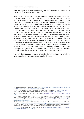for every deportee.<sup>28</sup> Uncharacteristically, the UNHCR expressed concern about this plan in two separate statements.<sup>29</sup>

In parallel to these statements, the government undertook several measures ahead of the implementation of the forcible deportation plan. It passed legislation that extends the operation of the Holot Detention Facility by three months only, thus tying the closure of the facility with the beginning of the deportation.<sup>30</sup> At the same time, the Ministry of Interior increased pressure on Eritreans and Sudanese to depart "voluntarily."31 On January 1, 2018 the ministry published the "Regulation on Removal to the Third Countries." Under the regulation, "Starting in February 1, 2018, an infiltrator from the state of Eritrea or Sudan [sic] whom… the Border Control Officer found to fall within the population targeted by the implementation of this regulation… will receive a written notification… that he must leave Israel within 60 days."32 The new regulation is even more far-reaching than the April 2015 plan, against which the appeal was filed. Thus, for example, it does not exclude those who filed or will file asylum applications after January 1, 2018, in contravention of the demands of the attorney general from April 2015 and of international law. Following the publication of the regulation, which mentions agreements with "two African countries," and the announcements about the intention to commence with deportations in the coming months, senior officials in Uganda and Rwanda rushed to deny the existence of agreements with Israel on the matter.<sup>33</sup>

The new deportation plan raises serious legal and moral qualms, which are accentuated by the testimonies presented in this report.

28. See Haaretz report from November 20, 2017. https://www.haaretz.com/israel-news/israel-to-pay-rwanda-5-000-for-every-asylum-seeker-deported-there-1.5466805.

29. "UNHCR concerned over Israel's refugee relocation proposals", November 17, 2017 http://bit.ly/2zf62qT; "UNHCR appeals to Israel over forced relocations policy". January 9, 2018, http://bit.ly/2rxRqQ1.

<sup>30.</sup> See a report published by Ynet News, December 12, 2017. https://www.ynetnews.com/articles/0,7340,L-5055834,00. html.

<sup>31.</sup> On January 1, 2018, the Ministry of Interior published an information sheet in four languages titled: "Special Track for infiltrators for Voluntary Departure from Israel" The sheet was published online and in the relevant Ministry of Interior offices. The English version is available at: https://www.gov.il/BlobFolder/news/voluntary\_ return\_operation/he/exit\_eng.pdf.

<sup>32.</sup> Population and Immigration Authority, Regulation on Removal to Third Countries (Regulation 0.9.0005), January 1, 2018. https://www.gov.il/BlobFolder/policy/third\_country\_deportation\_procedure/he/10.9.0005. pdf. As is apparent from the wording of the link, even in the eyes of the authority the procedure amounts to "deportation" (while in Hebrew the word "harhaka" is used, literally meaning "distancing").

<sup>33.</sup> See a report from the Associated Press, January 5, 2018. https://www.gov.il/BlobFolder/policy/third\_country\_ deportation\_procedure/he/10.9.0005\_0.pdf.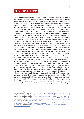# **PREVIOUS REPORTS**

The testimonies appearing in this report follow the testimonies provided in previous reports. Those reports were based on dozens of testimonies of Eritrean and Sudanese who "voluntarily" departed Israel in 2014-2015, most of them collected in Africa. Two of the reports were published by Israeli organizations: a report by the Hotline for Refugees and Migrants and ASSAF – Aid Organization for Refugees and Asylum-Seekers, published in April 2015, was based on testimonies of 24 refugees who left Israel in 2014 to Rwanda and Uganda. The report found serious shortcomings in the "voluntary" departure process, including the forging of travel documents by at least one employee of the Immigration Authority. The report argued that Rwanda and Uganda are not providing to the deportees the protection they are entitled to under international law, forcing them to continue on a perilous journey in search of asylum.<sup>34</sup> Another report, published by the Hotline for Refugees and Migrants in December 2015, included nine affidavits of those deported to Rwanda and Uganda. The report exposed the absence of the mechanism to ensure the safety of the deportees, reports on confiscation of the travel documents in Rwanda, as well as incarceration, smuggling and robberies en route to Uganda.<sup>35</sup> Similar findings emerged from 17 testimonies collected by Prof. Galia Sabar as part of research she conducted in Uganda and Rwanda in 2015. 36 22 additional interviews with deportees were conducted by the international Refugee Rights Initiative (IRRI) in September 2015. 37 The organization collected testimonies from Eritrean and Sudanese as who had left Israel in 2014-2015 and presented similar findings about the lack of protection and exposure to harm in Rwanda and Uganda. In January 2018, the UNHCR issued an extraordinary statement, further bolstering these findings.<sup>38</sup> According to the UNHCR, between November 2015 and December 2017, the agency collected 80 testimonies of Eritrean asylum-seekers who left Israel to "third countries in Africa" (whom the UNHCR does not name explicitly). In the one-page statement, the UN body argued that the situation the deportees found themselves in was completely different from what they had expected: those who departed Israel did not feel safe, in part because local officials knew that the deportees are carrying cash on them. The interviewees reported feeling that they have no choice but to try and embark on a journey spanning South Sudan, Sudan and Libya. Some of them reported the death of fellow travelers, many of them were incarcerated, subjected to abuse and various forms of torture, before crossing the dangerous sea route to Italy.

<sup>34.</sup> Hotline for Refugees and Migrants and ASSAF "Where There is No Free Will: Israel's "Voluntary Return" Procedure for Asylum-Seekers", April 2015. http://hotline.org.il/en/publication/where-there-is-no-free-will/ 35. Hotline for Refugees and Migrants, "Deported to the Unknown": testimonies of asylum seekers who left Israel to a third country, December 2015. http://hotline.org.il/en/publication/deported-to-the-unknown-2/ 36. See the opinion of Prof. Galia Sabar, as it appears in the appeal of Israeli human rights NGOs against the forcible deportation agreement to the third countries, April 2015. http://hotline.org.il/wp-content/uploads/2015/04/ PetitionAgainstForcibleUgandaRwanda.pdf (Hebrew)

<sup>37. &</sup>quot;I Was Left with Nothing", International Refugee Rights Initiative (IRRI), September 2015. http://refugeerights.org/wp-content/uploads/2017/11/IWasLeftWithNothing.pdf

<sup>38.</sup> See the UNHCR statement http://www.unhcr.org/news/briefing/2018/1/5a548e064/unhcr-appeals-israelforced-relocations-policy.html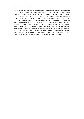The findings in this report correspond with the conclusions of reports and statements proceeding it. Our findings, similarly, show serious flaws in government policies and grave dangers that await those departing Israel. Thus, our findings reinforce the conclusions of previous reports about the dangerous shortcomings of this policy and its consequences for those "voluntarily" departing, as well as those set to be deported from Israel. This report includes the testimonies of refugees who left Israel in 2016, thus showing that the worrisome state of affairs sketched in previous reports has not changed. Finally, this report details, for the first time, additional legs in the journey of those who departed Israel. Very little was known about those parts of the journey – and in particular what the refugees experienced in Libya and while crossing the Mediterranean Sea– until they reached Europe. Thus, this report expands our understanding of the travails faced by those who departed Israel beyond the information provided in previous reports.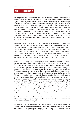# **METHODOLOGY**

The purpose of this qualitative research is to describe the process of departure of Eritrean refugees who lived in Israel and "voluntarily" departed to Rwanda and Uganda, what they experienced in those countries after landing, and the hardships they endured in every state they crossed until reaching Europe. The interviewees were recruited using a snowball sampling method. The researchers, which at the time of conducting the research resided in Berlin, were contacted by refugees who "voluntarily" departed through social media and by telephone. Additional interviewees were recruited through the connections of NGOs and activists in Israel and around the world. Participants in the first group of interviewees then connected the researchers to friends and acquaintances who had also left Israel and reached Europe, and those connected the researchers with additional acquaintances and so forth.

The researchers conducted 19 interviews between July-December 2017 in various cities across Germany and the Netherlands, where the interviewees reside: 11 in Germany and eight in the Netherlands. 16 of the interviews were conducted in person, at a coffee shop or the home of the interviewee, and three were conducted over the phone. Every interview lasted between an hour to two hours. Usually, the interviews were carried out as part of a longer meeting, which included an informal introductory conversation. With most of the interviewees, a connection was formed and maintained even after the interviews were concluded.

The interviews were carried out utilizing a structured questionnaire, which included questions about demographic data, the circumstances of the departure from Israel, what happened once the interviewees landed in Rwanda or Uganda, as well as experiences in each one of the countries they crossed on their way to Europe. The fact that the interviewees resided in Germany and the Netherlands for several months to years prior to the interviews, and all but three (who still await a decision on their matter) received refugee status, provided access to the full story of their journey, both technically and emotionally; technically, access to the interviewees and their stories is limited to non-existent while they are in Rwanda, Uganda or the countries they passed along the way; emotionally, being present in Europe, which for most of them means arrival to safety, including legal status and protection, provided a "safe space" to reveal their stories. It was apparent that the interviewees felt comfortable during the interviews, and that it was important for them to testify to what had happened to them, in part due to the sense of responsibility toward their friends who are facing a similar threat. The interviewees expressed a clear message of wanting to prevent other from undergoing the difficult journey they managed to survive.

The interviews were carried out while adhering closely to principles of research ethics, protecting the dignity and privacy of the interviewees. Thus, all are presented in this report under pseudonyms.

All interviewees were conducted in Hebrew, except one, which was carried out in English. Most interviewees wished to speak in Hebrew, and some even expressed excitement about speaking this language after a long period during which it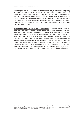was not possible to do so. Some mentioned that they worry about forgetting Hebrew. This is not merely a technical detail, but it reveals something significant about the interviewees: they spent many years in Israel, learned the Hebrew language, and naturally, formed a connection to it. However, since Hebrew is not the mother tongue of the interviewees, this manifests in the language register of the interviews, which will be provided in the findings chapter. The interviews were parsed utilizing a method of thematic content analysis MAXQDA, a qualitative data analysis software.

**The demographic details of the interviewees:** interviews were conducted with 19 Eritrean men. The interviewees arrived in Israel between 2008 and 2012, and most of them arrived in 2010 and 2011. They left Israel between 2014 and 2016. The average duration of living in Israel is five years. All "voluntarily" departed to Rwanda, except one who left to Uganda. Five of the interviewees left Israel after February 2016, 39 four of them to Rwanda and one to Uganda. 16 of the interviewees were granted refugee status in the European countries they reached: eight of them in the Netherlands (where refugee status is granted for an initial period of five years), and eight in Germany (where the status is granted for three years, initially). Three additional interviewees who live in Germany are in the midst of the asylum application process and are awaiting a response from authorities.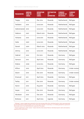| <b>PSEUDONYM</b> | <b>ARRIVAL</b><br><b>YEAR TO</b><br><b>ISRAEL</b> | <b>DEPARTURE</b><br><b>FROM</b><br><b>ISRAEL</b> | <b>DESTINATION</b><br><b>OF</b><br><b>DEPARTURE</b> | <b>CURRENT</b><br><b>COUNTRY OF</b><br><b>RESIDENCE</b> | <b>CURRENT</b><br><b>LEGAL</b><br>STATUS* |
|------------------|---------------------------------------------------|--------------------------------------------------|-----------------------------------------------------|---------------------------------------------------------|-------------------------------------------|
| <b>Tsegay</b>    | 2010                                              | Dec 2014                                         | Rwanda                                              | <b>Netherlands</b>                                      | Refugee                                   |
| Tesfalem         | 2010                                              | <b>June 2015</b>                                 | Rwanda                                              | Netherlands                                             | Refugee                                   |
| Gebremariam      | 2010                                              | <b>June 2015</b>                                 | Rwanda                                              | Netherlands                                             | Refugee                                   |
| Habtom           | 2007                                              | <b>March 2015</b>                                | Rwanda                                              | Netherlands                                             | Refugee                                   |
| Yohanes          | 2010                                              | <b>June 2015</b>                                 | Rwanda                                              | Netherlands                                             | Refugee                                   |
| Haile            | 2009                                              | June 2015                                        | Rwanda                                              | Netherlands                                             | Refugee                                   |
| Daniel           | 2009                                              | March 2016                                       | Rwanda                                              | Netherlands                                             | Refugee                                   |
| Johnny           | 2010                                              | <b>June 2015</b>                                 | Rwanda                                              | Netherlands                                             | Refugee                                   |
| Gabriel          | 2010                                              | Oct 2015                                         | Rwanda                                              | Germany                                                 | Refugee                                   |
| Samson           | 2012                                              | April 2016                                       | Rwanda                                              | Germany                                                 | Refugee                                   |
| Kidane           | 2008                                              | <b>June 2014</b>                                 | Rwanda                                              | Germany                                                 | Refugee                                   |
| Kiflom           | 2010                                              | April 2016                                       | Rwanda                                              | Germany                                                 | Under review                              |
| Dawit            | 2010                                              | Dec 2015                                         | Rwanda                                              | Germany                                                 | Under review                              |
| Emanuel          | 2011                                              | April 2016                                       | Rwanda                                              | Germany                                                 | Refugee                                   |
| Tesfay           | 2011                                              | Dec 2015                                         | Rwanda                                              | Germany                                                 | Under review                              |
| Aaron            | 2010                                              | Aug 2015                                         | Rwanda                                              | Germany                                                 | Refugee                                   |
| Isayas           | 2010                                              | Dec 2015                                         | Rwanda                                              | Germany                                                 | Refugee                                   |
| Abraham          | 2010                                              | Dec 2015                                         | Rwanda                                              | Germany                                                 | Refugee                                   |
| <b>Brehane</b>   | 2011                                              | April 2016                                       | Uganda                                              | Germany                                                 | Refugee                                   |

\* "Refugee" means a legal status granted to the interviewees after their individual asylum claim was examined by the authorities of the European country they have reached. In Germany, it is initially granted for a period of three years and in the Netherlands for a period of five years.

<sup>\* &</sup>quot;Asylum application under review" means that the interviewee filed an individual asylum claim and awaits a response from authorities.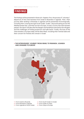# **FINDINGS**

The findings will be presented in three sub-chapters: first, the process of "voluntary" departure of the interviewees from Israel to Rwanda or Uganda. Then, their journey after landing in Rwanda or Uganda will be presented chronologically, including their crossing through South Sudan, Sudan, Libya and sailing across the Mediterranean Sea, until their arrival in Europe. In every country the interviewees passed, the report will describe the dangers and hardships endured by the refugees and the challenges of finding protection and safe haven. Finally, the lives of the interviewees in Europe today will be described, including their mental state and their concern for friends who remain in Israel.



## **> THE INTERVIEWEES' JOURNEY FROM ISRAEL TO RWANDA, UGANDA AND ONWARD TO EUROPE**

1 > From Israel to Rwanda 2 > From Rwanda to Uganda 3 > From Uganda to South Sudan 4 > From South Sudan to Sudan

- 5 > From Sudan to Libya
- 6 > From Libya to Europe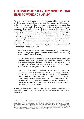# **A. THE PROCESS OF "VOLUNTARY" DEPARTURE FROM ISRAEL TO RWANDA OR UGANDA<sup>40</sup>**

The interviewees corroborated one another when describing the way they left Israel: most said that when they went to renew their temporary residency permit at the Ministry of Interior in Israel, they received a notice that their visa will be renewed only for a month or less, following which they have to choose between two options: incarceration in the Holot Detention Facility or departure to a "third country." The interviewees described being pressured to leave, pressures that at times included promises about what awaits them in the third country. Most reported that they did not receive detailed information about what awaits s them in Rwanda or Uganda. Some of them received general promises that included access to an asylum process and work permits. Once they agreed to leave, Israeli authorities pressured them to leave as soon as possible, within days or a week. Most did not have time to receive compensation from work places in which they had worked for years or to properly say goodbye to friends and family. Tesfalem, Brehane and Haile described it thus:

"I was in Israel for five years, worked in a shawarma [stand]… [In the Ministry of Interior] they told me 'go to Rwanda or stay here in prison in Holot.' They said Rwanda is better." (Tesfalem)

"The visa ran out, so [in the Ministry of Interior] they told me 'no one will give you work… without work you know what type of life… it's hard.' I wanted to go, the best thing would be to return to Eritrea… I love my country… But it's impossible to return… because we have a dictator in Eritrea, our Prime Minister is the most dangerous in the world." (Brehane)

"[At the Ministry of Interior] they told me 'you can't stay here'… you can live in Rwanda… the Israeli government is giving them… a lot of money and you can live there… they gave me a paper41 but… it was written in Hebrew and I don't understand it… I signed, because I didn't know how it is, I thought that it's good… after 15 minutes he calls me… 'in a week you're going'… Because of this I didn't ask for compensation or my salary, I left everything… [I said] 'I have many things I need to arrange' and they told me 'you don't have time, you're going.'" (Haile)

All interviewees reached the airport, where they received a travel document and \$3,500 in cash from a representative of the Israeli government and boarded an airplane.

<sup>40.</sup> The matter of whether the departures are indeed "voluntary" was discussed at length in prior reports, including in "Where There is No Free Will" by the Hotline for Refugees and Migrants and ASSAF, which was based on testimonies of asylum-seekers. The report detailed the array of pressures applied on asylum-seekers to "voluntarily" depart, including prolonged incarceration in Saharonim Prison and the Holot Detention Facility, denial of refugee status, denial of work permits, a requirement to renew stay permits frequently, and degrading treatment by authorities. For more, see<u> http://hotline.org.il/en/publication/where-there-is-no-free-will/</u> 41. Referencing the form one signs to declare they are leaving "voluntarily."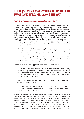# **B. THE JOURNEY FROM RWANDA OR UGANDA TO EUROPE AND HARDSHIPS ALONG THE WAY**

## **RWANDA: "It was the opposite… we found nothing"**

18 of the 19 interviewees left Israel to Rwanda. Their description of what happened upon landing in Rwanda tell a similar story: promptly upon arrival, a man waited for them at the airport, and some described that they did not go through passport control but through a separate line. The man instructed them to get into a vehicle and took them to what they described as a hotel. He ordered them to remain in their rooms and not leave them. All interviewees except one testified that the travel document given to them in Israel, which was valid for just a few days but was the only identifying document in their possession, was taken away from them. This was also the case for those who had left Israel in mid-2016. Daniel was the only interviewee who managed to keep a copy of his travel document. This is how Isayas narrated it:

"I landed in Rwanda. We got off the plane… someone who works at the airport took all of our documents. We asked him why? They responded that they'll give us something else instead… but they never gave us any documents… Once you leave Israel, no one knows who you are… They put us in a prison they called a hotel, a guard kept watch over us so we don't leave… But the State of Israel says that you can get documents and receive asylum and that you'll have a good life, like a dream."

Samson recounted what happened upon landing at the airport:

"They come [with] a small car and don't talk, don't say 'drink water'… They threw our bag in the car and 'come on, come on!' don't talk… We got in the car and they closed us off… Where are we? I don't know… There was a small house there like a hotel, but it's not a hotel… Two people would sleep in a bed for one person."

Another interviewee, Kidane, asked that the documents confiscated from him to be given back, but was refused.

"This guy from the immigration… He said… that he's taking [the document] from the people who come and gives it back to the Israeli immigration, if he gives them back the 'passport' he gets money."

All the interviewees testified that they stayed in the hotel for only a few days before being smuggled to Uganda. An armed man guarded the hotel. Some of the interviewees reported that they were forced to pay hundreds of dollars for their stay in the hotel. Some also reported that their phones were taken from them. It was evident from the testimonies that the refugees felt scared, pressured and insecure. Some stressed the fact that they had never been to Rwanda – they don't know the country, don't know the local language, have no connection to people living in it and don't have a way to navigate the country on their own. Tsegay, for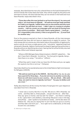example, described that the man who ushered them to the hotel threatened him and his friends that if they leave the hotel, they will be caught by the police and sent back to Eritrea. All were told that they can not remain in the hotel and must leave Rwanda. Isayas described it thus:

**"Three days after this man [picked us up from the airport], he came and told us 'you must leave to Uganda'… He said we must get ready and that he'll take us to Uganda, I asked where are our documents and why must we leave? He said that we must… I didn't plan on crossing to another country… I left my country as a teenager and I am tired of moving from one country to another… [But] until I reach a quiet [place]… I must go… If it's impossible in this country, if this is not good for me… [I] must look for another way."** 

Due to the pressure exerted on them to leave Rwanda, all the interviewees emphasized that they did not have an opportunity to apply for asylum. The interviewee did not receive any information about the possibility of applying for asylum and do not know a single person who "voluntarily" departed Israel and remained in Rwanda. Habtom mentioned his dread of approaching authorities in Rwanda without an identifying document, fearing that he will be forcibly returned to Eritrea. Kiflom and Yohanes reported:

"Where is RSD [Refugee Status Determination], UNHCR? I asked him… 'We don't have that in Rwanda', he told me. 'You [can go] to Uganda, Kenya… Here there is no camp,<sup>'42</sup> he told us." (Kiflom)

"What they said in Israel is that you have the UN there and you can apply [for asylum], but this is not true." (Yohanes)

Dawit described how he was denied access to the United Nations High Commissioner for Refugees (UNHCR):

**"We said we want to go to the UNHCR… But they tell us 'no, no, no, you have a permit for three days… If you do not move to another country [by then] we will return [you] to your country… We are afraid… [We said] 'okay, we want to move to Uganda, but how?' 'You pay 150 dollars and you cross'."**

Tesfay described how all the money the State of Israel gave him upon departure was taken from him in Rwanda:

"I never saw a country like this in my life. We are at 4 AM in Rwanda, we come… and they take us, three people… we got into the car… after that… they say 'give us money' and we said 'for what?'… but there's nothing to do, I gave them 3,500 [dollars], everything! Because it was in the bag, everything! … Later I spoke to my brother [in Israel]… and he also does not believe me, 'why are you saying this? It can't be that you go to a country and they take 3,500 from you'… he is right not to understand, [in the end] he sent me 1,000 dollars."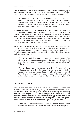One after the other, the interviewees describe their extreme fear of staying in Rwanda without an identifying document or a stay permit. Kidane, for example, recounted his anxiety about remaining without an identifying document:

"We were afraid… We have nothing, not paper, not ID… It was hard, without nothing you can not move around… If we like leave [the hotel]… there is no one to take responsibility for us… We don't know, we don't have information… What they told us in Holot is one thing and what happened after we arrived… it was the opposite… we found nothing."

In addition, none of the interviewees received a call from Israeli authorities after their departure. In a few cases, the Immigration Authority took their phone number or the numbers of their friends who remained in Israel – but no contact was initiated with them after departing Israel. Tesfay even described that in light of the hardships he encountered in Rwanda, he tried calling the number he had received from an employee of the Immigration Authority prior to his departure from Israel, but he was unable to reach anyone.

As is apparent from the testimonies, the promises that were made to the deportees prior to leaving Israel, as well as the promises made by the State in court, were not kept. Lacking protection, under pressure and threats, the interviewees were forced to continue on a perilous journey, seeking shelter. This is how Yohanes and Kidane described this:

"They told us that in Rwanda we will meet the immigration office… 'You will get what you want, you can also stay in Rwanda, you will have all the things there'… but as we get out of the airport, they send [us] to Uganda." (Yohanes)

"They said that in Rwanda like you apply for asylum… Where is that? If we really could apply for asylum, the immigration could have taken us straight [to ask for] asylum... [but instead] they tell us to leave the state of Rwanda? They tell us we have only three days permit to stay in Rwanda [and] after that we… have to leave the country… why they tell us this, why they lie?" (Kidane)

#### **> from rwanda to uganda**

As mentioned, none of the 18 interviewees who had landed in Rwanda stayed more than a few days in the country, during which they remained at the hotel. Their testimonies outline the operation of a human trafficking and smuggling network, which begins with the officials who pick up the interviewees at the airport in Rwanda. These officials are connected to smugglers who charged the deportees hundreds of dollars for an irregular crossing of the border with Uganda, and those in turn, work with elements inside Uganda. Tsegay recounted:

"He receives us, the one who took us from the airport, and brought us someone else [and said], '[my friend] knows how to take to you Kampala<sup>43'</sup>."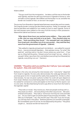#### Kidane added:

"This guy work from the immigration… he takes us all the way to the border with Uganda, and then he calls a guy he knows in Uganda to receive us, who will take us [into] Uganda. We walked until the border in a car, and after the border we crossed on foot, so we won't be caught."

The journey from Rwanda to Uganda lasted between several days and two weeks. The irregular border crossing was described as perilous. Tesfay, for example, said that he paid \$300 and walked for two weeks on foot to reach Uganda. Some of the interviewees were robbed on the way of all the money in their possession. Meanwhile Gabriel and Samson recounted:

**"After about three hours we reached some soldiers… They came with a rifle, shut our eyes and told us to go back… They checked what we have… Took everything they found… I for example had 3,500 [dollars] from Israel and 1,200 dollars out of my own pocket… they said that they were from the government of Uganda." (Gabriel)**

"We walked to Uganda and paid each 500 [dollars]… we walked for several hours… [we encountered] Ugandans… they said pay money, 'for what? We paid 500', and they told us 'we don't know where you came from'… If we say no, [they] tell the police, '[these] come from Israel' but we… afraid. So we paid. When I give them the 3,000 [dollars] everything from Rwanda [to] Uganda, everything runs out." (Samson)

## **UGANDA: "The police catch you and they don't tell you '[you can] apply for asylum', they only want money"**

Brehane is the only one among the interviewees who "voluntarily" departed from Israel to Uganda. His story also demonstrates the wide gap between the promises given to him in Israel and the reality that awaited him. Similar to other interviewees, he was not given a phone number he could call upon departure from Israel. Brehane recounted being taken from the airport to a hotel, where he waited for someone to come and explain to him how to file for asylum, but no one came. He described being forced to pay \$700 to move from the hotel to the Ugandan capital:

"They told us in Israel, 'they receive you, there are people working with us… they await you there'… But everything is the other way around… We went, entered some place… They told us 'tomorrow morning we come and take you… Do you want to get out [of] this place? Everyone pays 700 dollars… We take you to Kampala', I say, why should I pay? They said 'if you do not pay, you will stay here in this place." Brehane paid this sum and left to Kampala. But immediately upon his arrival, he was detained by the police: "The police caught us… because we did not have an ID."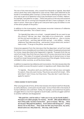The rest of the interviewees, who crossed from Rwanda to Uganda, described various perils they were subjected to upon arrival. Many were detained at the border or immediately after crossing it, as they had no identifying document. The only way to get out of detention was to pay exorbitant sums in bribes. Habtom, for example, was jailed for six days. "There was police on the way and someone told them that we're coming from Rwanda and don't have a passport. So we were in prison, there was no light at all. Everyone had to pay 600 dollars to one of the senior people of the police."

In addition to the incarceration, interviewees recounter instances of robberies that left them penniless. This is Dawit's story:

"[In Uganda] they take us to a hotel… 3 people [asked] 'do you want to see this country?' We say 'yes, okay', they take us on a motorcycle… outside [of the city] and one takes out… a big knife and tells us… give us money or we kill [you]… and they take all that we had… 3,500 dollars… clothes, cellphone, they take everything… and we don't know what to do, we don't have a note,<sup>44</sup> if we go to the police, we are afraid."

It becomes apparent from the interviews that the deportees' arrival from Israel made them more vulnerable and more likely to be robbed, threatened and extorted for money. Isayas described what happened in Uganda: "If people think that we came from Israel, they think that you have a lot of money, everyone tries to steal and rob you." This state of increased vulnerability due to being known to have arrived from Israel characterized the entire journey of the refugees. Similar events unfolded in other countries, as will be shown below.

In addition to experiencing robberies and incarceration, the interviewees describe being unable to access the asylum system in Uganda as well. Kidane described:

"In Uganda… the police catch you and they don't tell you [you can] apply for asylum, they only want money. They know we came from Israel… Who tells them? I don't know, but they know. They also don't want that we… apply for asylum."

#### **> from uganda to south sudan**

After varying periods of time, all the interviewees who had arrived from Rwanda, as well as Brehane, continued to South Sudan. Some of them fell in the hands of human traffickers who sold them. Tesfay, for example, recounted how he paid a smuggler \$700 to cross from Uganda to South Sudan, and the smuggler sold him to another trafficker and disappeared:

**"We paid him, and he told us 'I take you in my car [to South Sudan]'… He took us to other people, for money… He left.. [We asked] Where [is he]? [They said] 'we don't know him… give us money.' We say… 'How do we pay? We paid 700 [dollars]… From where will I bring you?... [They] throw me to the floor… They took me this way from here, my arms, blood came out, they beat me… this way, with a knife."**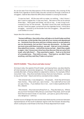As can be seen from the descriptions of the interviewees, the crossing of the border from Uganda to South Sudan was also carried out through a network of smugglers. Gabriel described the difficulties entailed in crossing the border:

"It was too hard… All the way with no water, no nothing… I don't know, I don't want to repeat this. It was very hard… We were in the car for almost three days… With goats and sheep, we hid on top… It was a long truck, covered on top, for the animals… We didn't know the road, and because we don't have any paper, someone from the Ugandan forces, I think like a smuggler… received us at the border from the smugglers… We paid them 2,000 dollars to cross."

Isayas describe violence and robbery:

**"Human traffickers, they told us they will take us to South Sudan and that we must pay, at the border they took all of our money and abandoned us… Someone from the army and two civilians came to us and asked to see our documents, but we don't have any documents… So they said we must come with them to prison, we said... that we're not criminals… they asked from money… took all the money we had… [later] they caught us again, I don't know every time how they discover that we came from Israel, who tells them? … They searched us again… Took us to this kind of a wooded area… They told us to pay… They beat us, we didn't have anything, and they said they'll take us to prison."**

## **SOUTH SUDAN: "They shoot and take money"**

Arriving in Juba, the capital of South Sudan, and staying there, was described by all interviewees as extremely dangerous. The refugees were afraid of walking outside after dark, of being robbed or subjected to violence. For example, Kiflom recounted: "Juba… they shoot and take money, there are many thieves… you have to stay at the hotel." Dawit and Johnny narrated similar ordeals:

"We entered Juba, it was dangerous… the people… think that all Eritreans have money… They catch you, 'give money'… You walk half an hour and you pay money… if you believe me or not… Just in Juba [I paid] \$2,500 for this. (Dawit)

"We entered… they took everything from us… They also beat you, 'Where are you from? Eritreans? Why did you come here? They beat, and if we tell them that we were in Israel, it's very hard… just 'give us, give us the money'… very dangerous." (Johnny)

Another source of danger the interviewees described was the connection between representatives of the South Sudanese regime with the Eritrean dictatorship, which could pose a real threat to the lives of those deported from Israel: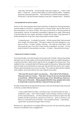"[In] Juba, the friends… At the border, they also caught us… I wasn't with them… I have luck… I love to drink coffee, so I went to drink coffee… Suddenly, the police came and took them… They told them to call the Eritrean embassy… If they don't call the Eritrean embassy, they don't release them." (Kidane)

#### **> incarceration in south sudan**

Some of the interviewees described stretches of detention lasting between several weeks to months in a regime prison in South Sudan, due to their lack of documentation. For some of them, this was not the first or the last period of incarceration. Johnny, for example, was jailed in Uganda for a week, afterwards in South Sudan for two weeks, and later in Sudan for ten days. Only payment of bribes allowed him to go free. Aaron described a similar ordeal:

"I entered prison… In Juba [for] a month… All the money [that I had received from Israel], the police take… [The jail in Juba] is the most dangerous, you have no food… no bed, clothes, nothing… You stay for a few days, until the money arrives, if you don't have money or passport, you stay… [in the end] a friend of mine and also my sister… in Israel… they send me money."

#### **> from south sudan to sudan**

From South Sudan, the interviewees continued north to Sudan. The journey lasted between two to three weeks, and was described by many as a highly dangerous crossing of borders. Many had to pay \$1,000 to smugglers for the journey. They walked on foot, constantly fearful of being caught by the police. Tesfay described that he drank one small bottle of water per day and did not eat for two weeks. Others reported eating once every two days. The road was described as replete with robbers, and many died on the way. Gabriel recounted:

**"This was the worst road in our journey…. The road is full of thieves… They just want our money… They don't know if you are a human being or an animal… All the time you have to pay. If not, they kill you, beat you, throw you in the sand… Many people died this way, people who were in Israel with us and we still don't [know] if they are alive."** 

Another threat that accompanied the journey is the risk of being forcibly returned to Eritrea, as described by Samson:

"I was a week there [in Juba]. I would go crazy, my head would not stop… I looked for a way… I don't have a paper, I have nothing, and this is why I go on the road [of] thieves… On the road there were thieves at night who did [makes sounds of gunshot], we got out of the car… 'give us money or we kill you or we [return] you to Eritrea'. I am scared for Eritrea… I was afraid… I gave them my phone and gave them money."

Brehane too, described an incredibly difficult journey. He was saved by paying money to a trafficker who smuggled him: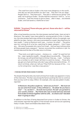"The road from Juba to Sudan is the most most dangerous in the world… One day you eat and another you don't eat… They don't let you sleep… People catch us… They have a gun… They ask us 'where are you going?' [we said] 'we're going to Sudan,' we also had the contractor<sup>45</sup> with us... so our contractor… took the money to give to them… after 15 days… we entered Sudan, and God saved us, thanks be to God."

## **SUDAN: "[In prison] Those who pay, get out, those who don't - will be returned to Eritrea"**

After a long hazardous journey, the interviewees reached Sudan. Upon arrival in Khartoum, the capital, many were jailed for varying periods of time. In Sudan, too, the interviewees had to pay a bribe to be released. Johnny, for example, was jailed for ten days. Samson, who was incarcerated for a week, described how he was caught: "I came to Khartoum and I was… in prison, for what? … The police saw me, coming all of us by bus, searching for paper, passport… I don't have any… We were five people who came from Israel… And we have nothing while all these people have a passport." Samson recounted the conditions in jail, his mental state and the fear of forcible return to Eritrea:

"They took us at night to prison... closing us in... under<sup>46</sup> [it was] hot hot hot… Later I spoke [to myself]… I thought about my entire life… 'Those who do not pay, we will send them back to Eritrea' they say… I said… 'I will give you a number to call in Israel, tell them to send me money'… Those who pay get out of jail and those who don't pay will be returned to Eritrea… If I return to Eritrea, what can I tell you? They'll kill me, because of this… I cry cry for a long time, I was like a crazy person."

#### **> forcible return from sudan to eritrea**

The dread of being forcibly returned to Eritrea from Sudan was apparent in many of the interviews. This fear was among the factors pushing the men to continue their journey north to Libya. Kiflom, for example, who was also jailed in Sudan, reported:

**In Khartoum, the police caught me, 'where are you from?'… We must not say we came from Israel, or they will beat us… He asked 'do you have a visa?' – 'no, we don't'… He took me to prison. He said 'you go back to your country, Eritrea'… My friend who was in Israel and was returned from Sudan to Eritrea together with his wife… So what to do? I decided that I'm going to Libya."**

In addition to the fear of being deported from prison in Sudan to Eritrea, the interviewees reported that agents of the Eritrean secret service are operating freely in Sudan. Dawit and Kidane described it thus:

<sup>45.</sup> Referring to a smuggler.

<sup>46.</sup> Referring to an underground prison.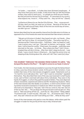"In Sudan… I was afraid… In Sudan they have [Eritrean] employees… If they know that [you] are in Sudan, if they know that you left the Eritrean military, they want to catch [you]… It's people you think are your friends… But they all work for the security [in Eritrea]… If I came back to my country, what expects me, I know it… If they catch me… they can kill me." (Dawit)

"In Khartoum [there is] a car, like the CIA of Eritrea… They… move around… [if] they catch you they can send you to Eritrea... Because of this fear we didn't like walk around freely. Most of the time we would stay at home… we didn't go out." (Kidane)

Samson described how he was saved by chance from forcible return to Eritrea, as opposed to four of his friends who were returned and their fate remains unknown:

"We got out [of prison in Sudan], they [were] not calm, my friends… [they said] 'we'll go to Libya, it's not good [in] Sudan... The police may kill us... because we don't have a document… I told them, 'relax, my head isn't well, I was in prison now, I can't go.' They said 'no Samson, we're going." I told them 'I will sit here for a while.' [They] went, four people… [and] they were returned on the way… to Eritrea… Now where are they? I don't know… [maybe] they will die in Eritrea… After that I didn't sleep at all at all… I was afraid, I was a month there in Khartoum… My head the entire time not sleeping all day thinking about life, what will I do? Then I went [to] Libya."

## **THE JOURNEY THROUGH THE SAHARA FROM SUDAN TO LIBYA: "We dumped the dead on the floor", "At night it comes to our head, it returns"**

From Sudan, the interviewees proceeded on a journey through the Sahara Desert to Libya, a journey whose duration varied. At this point in their narration, it was evident that many of the interviewees struggled to speak. Statements such as "it's hard for me to talk about this," and "I don't want to remember" repeated themselves. They described that most of the way was traversed in small Toyota trucks, each of them crammed with about thirty individuals. They were in the hands of smugglers, to whom they paid thousands of dollars. They were deprived of basic necessities, experienced violence and life-threatening situations. Many of the interviewees describe deadly car accidents, in which some of them were injured but received no assistance or medical care. Kiflom recounted: "The people who took us to Libya beat us. They said, 'Get in the car, come on, fast, fast. Get out of the car, fast, fast…'. The car [dug] into the ground and could not get out. They told us, 'Take everything off the car… push the car.' We pushed." Tesfay added: "If someone said, '[I want to] pee', they said, 'no'… [If someone said,] 'We're sick', they said 'what do we care? God willing you'll die'... What do they care?"

Some of the interviewees only paid to cross the Sahara, while others paid the smuggler in Sudan for the journey all the way to Italy. Emanuel said: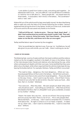"5,500 dollars [I paid] from Sudan to Italy, everything paid together… [In Sahara] the road in a car… very very difficult. I can not talk about it in Hebrew, it's hard for me to talk about it… Many people fell… we stayed there for three weeks... in some place, I don't know, in the Sahara... The coordinator<sup>47</sup> told us 'wait, wait.'"

Kidane fell out of the vehicle and his legs were badly injured. He described being able to walk only with the help of his friends following the incident. Samson explained that during the drive in the Sahara, he fell out of the truck, broke both of his arms and his life was saved only thanks to his friends:

**"I fell out [of the car]… broke my arms… They say 'dead, dead, dead'… I didn't hear and because [my mouth] was closed I couldn't talk. They said, 'come on, come on, throw him away.' But I have friends… they poured water on me like this, and threw me in the car once again."**

Tesfay testified about rape of women by the smugglers:

"Girls, he would take her, take her to sex. If you say 'no', he killed you, he will also give it to you with a knife, you can't talk… there's nothing you can do."

#### **> death in the sahara**

The blistering heat, scarcity of water and food, the travel conditions and the violence meted out by the smugglers resulted in the death of many in the Sahara. Some of the interviewees knew friends and relatives who died along the way, while others witnessed such deaths with their own eyes. Some testified that they were able to bury the dead, while others reported that the vehicle simply kept driving, leaving the bodies behind. For example, Brehane, Tesfay and Kiflom recounted:

"The road to Libya… dangerous, the most dangerous… What can I say… Several people fell [out of the truck] in the Sahara… We left them and went… We were more than 20 who came from Israel altogether… Those who died on the way, I know… I don't want to say the name… One of them I know, a friend of ours who fell, he did not drink, they don't give you food… after that, that's it, he died." (Brehane)

"Two were sick… After they died… We said 'people are dead' [they said,] 'why should we care?!... God willing you will die too'… After that we threw [the dead] to the floor, that's it, [they]didn't even give us a blanket, [I swear] on my mother." (Tesfay)

"Desert. No water. Very very hot… we ran out of food. One young woman and one young man died. There is a lot of sun… This is why people died… We buried them… on the way… I don't want to remember this. It's hard to think about this… At night it comes to us in our head, it repeats… It wakes me up, what I saw… I don't want to remember this… I want to close that door." (Kiflom)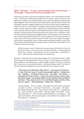## **LIBYA: "Like Sinai", "In Libya, a human being is not a human being", "I saw people- I did not know if they are dead or not".**

Following a precarious journey through the Sahara, the interviewees reached Libya.<sup>48</sup> The human traffickers brought them to camps, some of which were described as large overcrowded warehouses in which hundreds of people were jailed together. There, the interviewees were held for several months. Those who managed to pay the smugglers a large sum on money, were moved to a larger prison; those who did not, were jailed in incredibly overcrowded conditions. Migrants jailed in these camps are raped, subjected to violence daily, denied food and water, denied medical treatment and enslaved (forced to perform labor without payment). Many became ill and some died. More than once, in addition to the sum the interviewees paid the smugglers before reaching Libya, the interviewees were forced to pay additional sums in ransom to get out of those camps alive. In some cases, after they paid the ransom and left, they were caught once again and forced to pay another ransom. When describing these ordeals, some of the interviewees recalled the torture camps in Sinai, in which they were held en route to Israel.<sup>49</sup> Johnny recounted:

"All the time you are sick. All the time you are hungry. All the time it's hot, all the time it itches… If you were lucky, you eat once a day… enclosed [space] all the time, no light… We were also in Sinai, we saw also… everything, in Sinai… After that we reached Libya, the same thing."

Similar to when they recounted what happened in the Sahara Desert, while describing what had happened to them in Libya, the interviewees would often pause, speak in a trembling voice, cry and struggle to speak.50 At times, it seemed that "there are no words to describe this," as Isayas characterized it. Yet some of the interviewees managed to put into words the horrors they survived:

**"They close you in their place, like a prison… If you pay a lot of money… it's big. If you don't pay, it's small, many people together… Maybe 400, 200… together… The body itches all over… No water… No shower… I was there for three months… Those who did not have money to pay, stay there longer. I saw people [I didn't know whether] they are dead or not dead… They were very sick. One man died. People cry all day. [They told us,] 'quiet!'... All day beatings… What a life." (Kiflom)**

"Many beatings… Over our heads… [We were] a month without anything, no water, no food… In the jail of the police… 200 people… No light… Everything is black like this… They said 'you don't pay me – people here die… Call your father, your mother… Tell your father "I am dead"'. This is what they told me… Later, we are outside [he] tells me to pay again… We paid 5,000 dollars. Then we paid again 1,400 [dollars] once again [to the same person]." (Abraham)

<sup>48.</sup> For more on the conditions of migrants in Libya, see the statement by the UN Human Rights Chief, November 2017: http://www.ohchr.org/EN/NewsEvents/Pages/DisplayNews.aspx?NewsID=22393&LangID=E as well as the UN report on the inhumane conditions in the torture camps in Libya: http://www.ohchr.org/Documents/ Countries/LY/DetainedAndDehumanised\_en.pdf

<sup>49.</sup> Thousands among the asylum-seekers who have reached Israel were jailed and subjected to torture in camps run by smugglers in the Sinai Peninsula in Egypt. For more, see: https://www.amnestyusa.org/wp-content/ uploads/2017/04/afr040012013en.pdf

<sup>50.</sup> For more on the mental state of the interviewees, see part 3 of this chapter.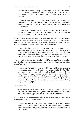"You are closed inside… Eating and sleeping there, 800 people in a small room… Everything is dirty, everyone is sick, boys, girls. I can't talk about it… They beat… [I do] work without nothing… Threatening, killing quietly." (Daniel)

"If there are new people, there is food, if there are no people, no food. One bathroom for 600 people… No electricity… There is beating, people die… There is no hospital, no nothing. There were women and children there too. (Habtom)

"There is rape… There are many things. I like don't want to talk about it… We were two months there… Every day they come and beat us, they like see you as animals, not people." (Kidane)

While most interviewees described being jailed together in one room with several hundreds of people, Brehane recalled being jailed for three months in one room with 1,500 people. He also related that those who were unable to pay the ransom suffered from greater violence, starvation and denial of food:

"I was in Libya for three months… 1,500 people in a room… People are sick, you don't shower for days, you don't go to the bathroom… I had a little bit of money, thanks be to God, but [people] who didn't have… Every day, they would beat them… They don't give them food, no shower… If they don't pay… God help them… A human being is not a human being in Libya."

Many of the interviewees described being sold from one trafficker to another, each time being forced to pay additional sums of ransom. Kidane also described cases of slavery:

"I was in a difficult situation… After in [Sahara] I fell from the truck and my knees got messed up… After that they also beat me [in Libya]… When they want you to pay money… If you are late, they kill you or cut off your hand… People who paid money, they take [their] money and sell them… to other people. After that, how will they get money? [If not] he kills them [or] he takes them to work… Some hard work of construction, [or] he takes weapons… I remember one he [shot] him in the knees… afterwards they amputated his leg." (Kidane)

Dawit recounted:

"I entered Libya, they catch me… Mafia… I paid 1,500 dollars… I was sick… If I don't pay it... they [move you to] another person and then you pay more, even six thousand. [I] paid five thousand dollar to come to Italy."

In addition to the harsh conditions, many of the interviewees witnessed death around them. Tesfay and Aaron described:

"I didn't see something like [this place] in my life… How many people died?... [Also] small children… [Every] day one person died, two people died… Because how do you eat one kilogram of pasta for ten people per day?" (Tesfay)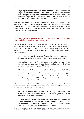**"A young woman in Libya, I saw this with my own eyes… We entered [together], after that she had… She… I don't know how… After this she died… She paid money, paid everything. [They said] 'tomorrow or the day after that you leave,' after that she died… [She was] sick, but there is no hospital… No bed, [sleep] on the floor." (Aaron)**

The smugglers would dispatch boats from Libya in the direction of Italy only when they could load many hundreds of people on them. Habtom, for example, reported that it took a month from the moment he reached the camp in Libya until 500 additional people arrived. Only then the smugglers said that it's possible to embark on the journey by sea.

## **CROSSING THE MEDITERRANEAN SEA FROM LIBYA TO ITALY: "We were ten people from Israel- Only three survived"**

Crossing the Mediterranean Sea to Europe was done on boats loaded by the smugglers with many hundreds of people, to reduce costs.<sup>51</sup> The crossing was described as exceptionally dangerous; in many cases, the boat's motor stopped working midjourney. The lucky ones were saved by European rescue ships. Johnny, Brehane and Kidane recounted:

"[On] the way, it was dangerous, difficult… The motor… It would stop… Everyone cries… There were many children, pregnant women." (Johnny)

"After six hours in the city… The motor doesn't work… But there was nothing we could do, just wait, we waited, and God heard us, and people of Italy came… and took us on a big boat." (Brehane)

"[It was] very hard… We were 300 people. On the boat, you can't sit, sitting on one another. After a journey of about six hours… it broke… oil… started coming out… We started [to try] to stop the oil… But it's impossible… There's one from Eritrea who is in Switzerland… We called him, he called for Italy's help, after… eight hours they came, if they had not come… we would [drown] in the sea." (Kidane)

Other boats sunk at sea with all their passengers. Many others died due to illnesses or suffocation due to the extreme overcrowding on the boats. Some of the interviewees witnessed such deaths:

"We were four hours at sea, on the waves, 500 people… Motor broke, no motor on the ship… Downstairs, there's no air… it's very hot… two-three people died every day." (Abraham)

**"I saw 400 people inside… the water, they drowned. I saw people got in and all of them died on the boat, I saw… Nine boats went into the sea, we were before this ship, many children died, I remember… I don't have the strength anymore to talk about it." (Yohanes)**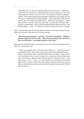"We entered at 4 o'clock into the sea, after two hours broken… the motor… I swam for two-three hours, [after this] they came to rescue us… We went 500 people into the sea, and out of them returned just maybe 100 people… maybe… from Israel, there were ten people on the boat, and we got out only three, you understand? Seven people died… After three days, I didn't know where I was, my head was upside down… Because I saw people… maybe fifty children, five year olds, four year olds, six year olds, half year olds… [When] I entered Italy, I went to the hospital and asked where are they? They told me dead… I cried… For what? For what? Are we not human?" (Tesfay)

Other interviewees reported losing family members and friends along the way. Dawit lost his wife, who was two months pregnant:

## **"We entered in peace but… my wife… we were not together… Different people caught me and my wife… She came on another boat, and this is why my wife died… 450 people dead [on that boat]."**

Isayas recounted that his partners in the journey, some of whom departed Israel after him, drowned at sea:

"There were people who came from Israel after me… and just because I came before them, they took us to the sea, and the rest stayed behind us… When I reached Germany, I heard that all of them are dead… They were all from the place where I was [in Libya], from my group, not just those who were from Israel… Because their families sent the money too late… They died in sea… I can't… I can't… It's very hard for me. Lucky for me, I reached Italy and from there to Germany, they gave me asylum and I have a good life here. But think about the people who left Israel to have a better life and did not make it."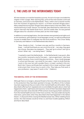# **C. THE LIVES OF THE INTERVIEWEES TODAY**

All interviewees survived the hazardous journey. Arrival in Europe concluded this chapter in their voyage. After reaching Italy, some of the interviewees continued to Germany, and some to the Netherlands. There, within one to several months from the moment of applying for asylum, 16 of them received refugee status. Many stated that during their refugee status determination interview (RSD), they mentioned living in Israel. Samson, for example, described that he underwent one asylum interview that lasted three hours, and five weeks later, he was granted refugee status for a duration of three years (at the initial stage).

In addition to receiving legal status, the interviewees were granted social rights such as rent assistance, participating in local language courses, as well as professional courses to enable them to integrate into the local workforce. This is how Tesfay in Germany and Habtom in the Netherlands described it:

"Now, thanks to God… I've been one year and four months in Germany. Great… I will tell God thank you very much first of all… I am okay, they gave me a house, they gave me a passport… They said 'go to school' and I go to school. What I say… I am being heard." (Tesfay)

"I wanted to reach the Netherlands… In the Netherlands it was quick, after two months I received a visa for five years… I got an apartment, I also have health insurance. Every month they give me money… Now I study language in school and they pay. I can study for two years. I want to study flooring, I work in this now, but with wooden floors. In Israel I worked in this too, [but] I don't have a certificate that I worked in this in Israel, and here I need a document that I know how to work in this. They help you find work in your profession, I pay taxes if I work in this." (Habtom)

## **THE MENTAL STATE OF THE INTERVIEWEES**

Although there is no longer a physical threat to the lives of the interviewees due to the protection they have been granted in Europe, the effects of the multiple traumatic experiences they survived on their mental health are still evident. Many described suffering from repeated and uncontrollable thoughts about what had happened to them, nightmares and insomnia. Some of them have been diagnosed with post traumatic stress disorder (PTSD) and are receiving psychiatric assistance from the mental health services in their host countries. This was evident during the interviews, particularly when they described what had happened in the Sahara Desert, in Libya and while crossing the Mediterranean Sea. When retelling those stories, the interviewees would at times cry and have trouble speaking. Kiflom and Aaron described: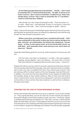**"[In the Sahara] people died and we buried them… This life… I don't want to remember this. It's hard to think about this… At night, it returns to our head. It returns. I don't want to remember. It wakes me up, what I saw, people dying, no food. I don't want to remember this. It's a problem… I want to close that door. (Kiflom)**

 "We will talk, but I don't have the strength to talk… There are times I cry… It's hard… What I saw… My friend died. A mess. It's not good, it's the most dangerous in the road… I don't have the strength to speak." (Aaron)

Dawit, whose wife drowned in the Mediterranean Sea during their joint journey, said that after he reached Germany, he suffered from depression and tried harming himself. He was directed to psychiatric care:

**"When I came here, my head went crazy, I wanted to kill myself… I felt I have nothing left in this world. So they sent me to a doctor and gave me pills, and now I am a little better, but without the medication, I cannot sleep… In Sinai, on the road to Israel, six of my friends died. At sea, my wife died… and I remember them, each and every one, and it does not leave me." (Dawit)**

Isayas described feeling guilty for surviving, while his partners in the journey, did not:

"The first time I saw them on Facebook,<sup>52</sup> I couldn't. We were together, sleeping, eating together, I got a sick feeling… You know that I'm lucky? That I have relatives in Canada and America who sent money… I have luck."

Despite the arduous journey and the traumatic experiences they have endured, the interviewees reported that these days, they are trying and mostly succeeding, each in their own way, to establish their life in their welcoming countries. They are making an effort to obtain mastery of the local language, study and find work. In addition, the mere fact that they shared their stories, despite the difficulties this entailed, attests to their mental resilience. Many of them stay informed of news in Israel and the world, and some are taking part in activism among their communities in the countries they have reached, as well as from a distance, through social media.

## **CONCERN FOR THE LIVES OF THOSE REMAINING IN ISRAEL**

All the interviewees described their journey as a road that "must not be traveled on." They expressed deep concern for the lives of their friends and relatives among the refugee communities residing in Israel, who may "voluntarily" depart or be deported to Rwanda and Uganda, to a "fifty-fifty" journey, in which life and death are both likely outcomes. It was apparent that this concern was one of the motivating factors for revealing what they experienced and granting an interview for this research, despite the challenges this entailed. The interviewees repeatedly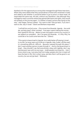thanked us for the opportunity to convey their message through these interviews. When they were asked what they would advise a friend who remained in Israel and called to ask whether it would be better to go to prison or leave Israel, all responded the same way. All said, without any hesitation, that although they managed to reach countries where they gained safe haven and rights, they would not embark on this journey again: "It's better in Israel in prison than dying on the way," said Tsegay. Samson stated: "You want to die? Then go back, if you don't want to die, stay in Israel." Dawit and Brehane responded:

"I will tell him not [to] come… If he comes from Rwanda, Uganda… He could die, and also [pay], what I worked… Five years I spent making the money… that I [paid] for this trip… Better to wait until peace come to our country or we replace our president… But if he goes [to] Rwanda… It's fifty-fifty, he could die or he could come here like me." (Dawit)

"If he wants to leave Israel to Uganda, he is really better off staying in Israel… In my life I've never seen such a life as in Uganda, Juba, Sudan, all [the way] it's something difficult, difficult… Because I passed through this place, I don't want another person to pass through it… And to the government in Israel… they shouldn't say that everything is okay with Uganda, don't say that because I saw with my own eyes… Israeli people must stop this… I don't know what to say, I just pray that from today, people who live in Israel will have the best in life, this is what I pray, and also that it will be good in our country, [so we can] go back." (Brehane)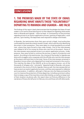# **CONCLUSIONS**

# **1. THE PROMISES MADE BY THE STATE OF ISRAEL REGARDING WHAT AWAITS THOSE "VOLUNTARILY" DEPARTING TO RWANDA AND UGANDA – ARE FALSE**

The findings of this report clearly demonstrate that the pledges the State of Israel made in court and to those leaving prior to their departure regarding what awaits them in Rwanda and Uganda – were not kept. In contravention of the promises regarding access to an asylum application process, granting of legal status, work permits, upon landing, the deportees were exposed to danger and threats.

In Rwanda, the testimonies show that upon arrival in Kigali, local authorities confiscated the travel documents issued in Israel, which was the only identifying document in their possession. They were taken to a hotel guarded by an armed man, where they were forced to stay under threats. One of the interviewees was robbed of all of his money by those who met him at the airport. None of the interviewees were granted access to an asylum application process. Under pressure, they were forced to continue the journey in search of protection and asylum. According to the testimonies, the crossing of the border to Uganda was done with smugglers who cooperate with the officials who met the interviewees at the airport and took them to the hotel. None of the interviewees remained in Rwanda or knows others who departed from Israel and remained in the country. This matches the data of the UNHCR: as far as the agency knows, out of the thousands of refugees who "voluntarily" departed Israel to Rwanda, only seven remained in the country.53 As for Uganda, there as well, the interviewees did not have access to an asylum application process, and they were exposed to robberies and incarceration. In addition, although in February 2016 the State promised the court to improve the protection of those departing, including a promise to allow them to keep a copy of the travel document after landing, as well as to keep track of their situation via phone calls, this report does not find any difference in the narratives of those who left prior to February 2016 and those who left afterwards.

53. This data was provided by the UNHCR and pertains to departures up to November 2017. See: https:// theconversation.com/threat-of-expulsion-hangs-over-thousands-of-eritreans-who-sought-refuge-inisrael-and-the-us-87898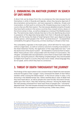# **2. EMBARKING ON ANOTHER JOURNEY IN SEARCH OF SAFE HAVEN**

A direct link can be drawn from the circumstances the interviewees found themselves in while in Rwanda and Uganda, where they became deprived of documentation and protection, and were exposed to robberies, threats and incarceration, to their push to continue a life-threatening journey in search of a country that can offer them asylum. The interviewees detailed a long list of travails they have had to endure in the various countries they crossed: torture, slavery in the torture camps in Libya , as well as a dangerous crossing of the Mediterranean Sea. The testimonies clearly indicate that due to the only identifying document in possession of the deportees being taken from them in Rwanda and Uganda, along with the money the State of Israel had given them upon departure being on their person, which people in the "third" countries knew of – increased their vulnerability throughout the journey, at times resulting in a threat to their lives.

This vulnerability originates in the Israeli policy, which left them for many years without a legal status, as well as numerous sanctions including incarceration in the Holot Detention Facility, the application of the wage deduction law,<sup>54</sup> and the dysfunction of the asylum system – all intended to incentivize them to leave. When these policies were compounded with the threat of incarceration, the refugees' vulnerable state was exploited to coerce them to leave Israel under false promises. Facing this pressure, often feeling complete despair, they were boarded on flights from Israel to a country they have never visited, whose language they do not speak, and to which they have no connection.

# **3. THREAT OF DEATH THROUGHOUT THE JOURNEY**

The findings of this report attest to the constant threat of death the interviewees endured throughout their voyage:<sup>55</sup> many witnessed the death of their fellow travelers while crossing the Sahara Desert, in the torture camps in Libya, or by drowning in the Mediterranean Sea. Others testified about cases of death that they have heard about, as well as people who were forcibly returned to Eritrea, jailed upon their return, their fate remaining unknown. Among the deaths that the interviewees witnessed first-hand were those of people who "voluntarily" departed Israel. The interviewees stressed time and again that they were among the lucky ones who managed to survive the journey, unlike many others.

54. See Reuters report, July 3, 2017 https://www.reuters.com/article/us-israel-migrants/feeling-unwantedand-unwelcome-african-migrants-hit-by-new-tax-in-israel-idUSKBN19O1KB

55. Similar testimonies about asylum-seekers who "voluntarily" departed Israel and died along the way can be found in the 80 interviews collected by the UNHCR in Italy, about which the UN agency reported in January 2018. For the full statement by the UNHCR: http://www.unhcr.org/news/briefing/2018/1/5a548e064/unhcrappeals-israel-forced-relocations-policy.html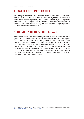# **4. FORCIBLE RETURN TO ERITREA**

The findings of the report include testimonies about Eritreans who "voluntarily" departed Israel to Rwanda or Uganda who were forcibly returned to Eritrea from one of the countries along the way - South Sudan, Sudan or Libya. Although Israel admits that it can not deport Eritrean back to their homeland, it appears that as part of the "voluntary" departure program, Israel is vicariously exposing them to the threat of forcible deportation to Eritrea.

# **5. THE STATUS OF THOSE WHO DEPARTED**

None of the interviewees received refugee status in Israel, but almost all were granted this status after their asylum applications were examined in Germany and the Netherlands. The refugee status was granted to them within a few months and even a single month from the moment they had applied for asylum. Some of the interviewees reported that they stated during the asylum interview that they had lived in Israel. This exposes the failings of Israel's asylum system and reifies the widespread criticism it receives. These findings bolster the assumption that similarly to the interviewees in this report, many Eritrean and Sudanese nationals residing in Israel are eligible for refugee status, but are denied the status to which they are entitled under international law.<sup>56</sup>